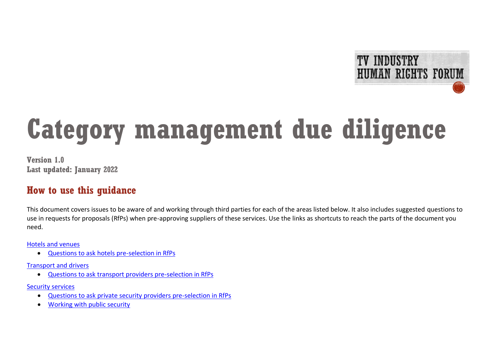

# **Category management due diligence**

**Version 1.0 Last updated: January 2022**

## **How to use this guidance**

This document covers issues to be aware of and working through third parties for each of the areas listed below. It also includes suggested questions to use in requests for proposals (RfPs) when pre-approving suppliers of these services. Use the links as shortcuts to reach the parts of the document you need.

Hotels [and venues](#page-2-0)

• [Questions to ask hotels pre-selection in RfPs](#page-3-0)

[Transport and drivers](#page-6-0)

• [Questions to ask transport providers pre-selection in RfPs](#page-7-0)

[Security services](#page-9-0)

- [Questions to ask private security providers pre-selection in RfPs](#page-11-0)
- [Working with public security](#page-14-0)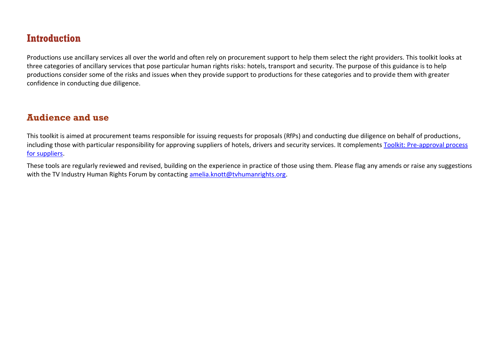# **Introduction**

Productions use ancillary services all over the world and often rely on procurement support to help them select the right providers. This toolkit looks at three categories of ancillary services that pose particular human rights risks: hotels, transport and security. The purpose of this guidance is to help productions consider some of the risks and issues when they provide support to productions for these categories and to provide them with greater confidence in conducting due diligence.

## **Audience and use**

This toolkit is aimed at procurement teams responsible for issuing requests for proposals (RfPs) and conducting due diligence on behalf of productions, including those with particular responsibility for approving suppliers of hotels, drivers and security services. It complements Toolkit: Pre-approval process [for suppliers.](http://www.tvhumanrights.org/pre-approving-suppliers)

These tools are regularly reviewed and revised, building on the experience in practice of those using them. Please flag any amends or raise any suggestions with the TV Industry Human Rights Forum by contacting [amelia.knott@tvhumanrights.org.](mailto:amelia.knott@tvhumanrights.org)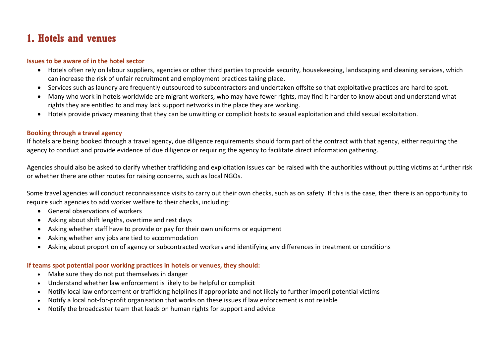## <span id="page-2-0"></span>**1. Hotels and venues**

#### **Issues to be aware of in the hotel sector**

- Hotels often rely on labour suppliers, agencies or other third parties to provide security, housekeeping, landscaping and cleaning services, which can increase the risk of unfair recruitment and employment practices taking place.
- Services such as laundry are frequently outsourced to subcontractors and undertaken offsite so that exploitative practices are hard to spot.
- Many who work in hotels worldwide are migrant workers, who may have fewer rights, may find it harder to know about and understand what rights they are entitled to and may lack support networks in the place they are working.
- Hotels provide privacy meaning that they can be unwitting or complicit hosts to sexual exploitation and child sexual exploitation.

#### **Booking through a travel agency**

If hotels are being booked through a travel agency, due diligence requirements should form part of the contract with that agency, either requiring the agency to conduct and provide evidence of due diligence or requiring the agency to facilitate direct information gathering.

Agencies should also be asked to clarify whether trafficking and exploitation issues can be raised with the authorities without putting victims at further risk or whether there are other routes for raising concerns, such as local NGOs.

Some travel agencies will conduct reconnaissance visits to carry out their own checks, such as on safety. If this is the case, then there is an opportunity to require such agencies to add worker welfare to their checks, including:

- General observations of workers
- Asking about shift lengths, overtime and rest days
- Asking whether staff have to provide or pay for their own uniforms or equipment
- Asking whether any jobs are tied to accommodation
- Asking about proportion of agency or subcontracted workers and identifying any differences in treatment or conditions

#### **If teams spot potential poor working practices in hotels or venues, they should:**

- Make sure they do not put themselves in danger
- Understand whether law enforcement is likely to be helpful or complicit
- Notify local law enforcement or trafficking helplines if appropriate and not likely to further imperil potential victims
- Notify a local not-for-profit organisation that works on these issues if law enforcement is not reliable
- Notify the broadcaster team that leads on human rights for support and advice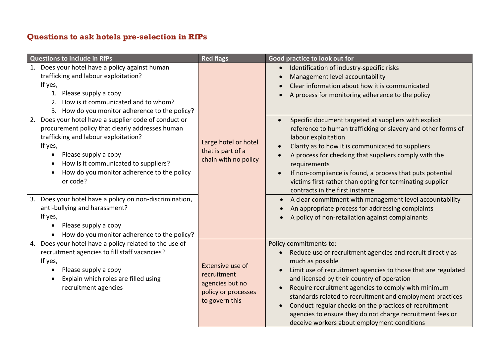## <span id="page-3-0"></span>**Questions to ask hotels pre-selection in RfPs**

| <b>Questions to include in RfPs</b>                                                                                                                                                                                                                                                                                                                                                                                                                         | <b>Red flags</b>                                                                            | Good practice to look out for                                                                                                                                                                                                                                                                                                                                                                                                                                                                                                                                                                                                                                               |
|-------------------------------------------------------------------------------------------------------------------------------------------------------------------------------------------------------------------------------------------------------------------------------------------------------------------------------------------------------------------------------------------------------------------------------------------------------------|---------------------------------------------------------------------------------------------|-----------------------------------------------------------------------------------------------------------------------------------------------------------------------------------------------------------------------------------------------------------------------------------------------------------------------------------------------------------------------------------------------------------------------------------------------------------------------------------------------------------------------------------------------------------------------------------------------------------------------------------------------------------------------------|
| 1. Does your hotel have a policy against human<br>trafficking and labour exploitation?<br>If yes,<br>1. Please supply a copy<br>How is it communicated and to whom?<br>2.<br>3. How do you monitor adherence to the policy?                                                                                                                                                                                                                                 | Large hotel or hotel<br>that is part of a<br>chain with no policy                           | Identification of industry-specific risks<br>Management level accountability<br>Clear information about how it is communicated<br>A process for monitoring adherence to the policy                                                                                                                                                                                                                                                                                                                                                                                                                                                                                          |
| 2. Does your hotel have a supplier code of conduct or<br>procurement policy that clearly addresses human<br>trafficking and labour exploitation?<br>If yes,<br>Please supply a copy<br>$\bullet$<br>How is it communicated to suppliers?<br>$\bullet$<br>How do you monitor adherence to the policy<br>$\bullet$<br>or code?<br>3. Does your hotel have a policy on non-discrimination,<br>anti-bullying and harassment?<br>If yes,<br>Please supply a copy |                                                                                             | Specific document targeted at suppliers with explicit<br>$\bullet$<br>reference to human trafficking or slavery and other forms of<br>labour exploitation<br>Clarity as to how it is communicated to suppliers<br>$\bullet$<br>A process for checking that suppliers comply with the<br>$\bullet$<br>requirements<br>If non-compliance is found, a process that puts potential<br>$\bullet$<br>victims first rather than opting for terminating supplier<br>contracts in the first instance<br>A clear commitment with management level accountability<br>$\bullet$<br>An appropriate process for addressing complaints<br>A policy of non-retaliation against complainants |
| How do you monitor adherence to the policy?                                                                                                                                                                                                                                                                                                                                                                                                                 |                                                                                             |                                                                                                                                                                                                                                                                                                                                                                                                                                                                                                                                                                                                                                                                             |
| 4. Does your hotel have a policy related to the use of<br>recruitment agencies to fill staff vacancies?<br>If yes,<br>Please supply a copy<br>$\bullet$<br>Explain which roles are filled using<br>$\bullet$<br>recruitment agencies                                                                                                                                                                                                                        | Extensive use of<br>recruitment<br>agencies but no<br>policy or processes<br>to govern this | Policy commitments to:<br>Reduce use of recruitment agencies and recruit directly as<br>much as possible<br>Limit use of recruitment agencies to those that are regulated<br>and licensed by their country of operation<br>Require recruitment agencies to comply with minimum<br>$\bullet$<br>standards related to recruitment and employment practices<br>Conduct regular checks on the practices of recruitment<br>agencies to ensure they do not charge recruitment fees or<br>deceive workers about employment conditions                                                                                                                                              |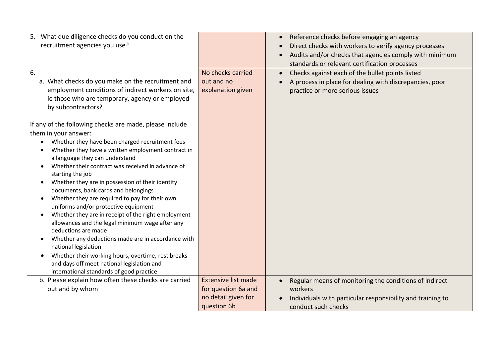| 5. What due diligence checks do you conduct on the                                                     |                            | Reference checks before engaging an agency<br>$\bullet$      |
|--------------------------------------------------------------------------------------------------------|----------------------------|--------------------------------------------------------------|
| recruitment agencies you use?                                                                          |                            | Direct checks with workers to verify agency processes        |
|                                                                                                        |                            | Audits and/or checks that agencies comply with minimum       |
|                                                                                                        |                            | standards or relevant certification processes                |
| 6.                                                                                                     | No checks carried          | Checks against each of the bullet points listed<br>$\bullet$ |
| a. What checks do you make on the recruitment and                                                      | out and no                 | A process in place for dealing with discrepancies, poor      |
| employment conditions of indirect workers on site,                                                     | explanation given          | practice or more serious issues                              |
| ie those who are temporary, agency or employed                                                         |                            |                                                              |
| by subcontractors?                                                                                     |                            |                                                              |
|                                                                                                        |                            |                                                              |
| If any of the following checks are made, please include                                                |                            |                                                              |
| them in your answer:                                                                                   |                            |                                                              |
| Whether they have been charged recruitment fees<br>$\bullet$                                           |                            |                                                              |
| Whether they have a written employment contract in<br>$\bullet$                                        |                            |                                                              |
| a language they can understand                                                                         |                            |                                                              |
| Whether their contract was received in advance of                                                      |                            |                                                              |
| starting the job                                                                                       |                            |                                                              |
| Whether they are in possession of their identity<br>$\bullet$                                          |                            |                                                              |
| documents, bank cards and belongings                                                                   |                            |                                                              |
| Whether they are required to pay for their own<br>$\bullet$                                            |                            |                                                              |
| uniforms and/or protective equipment                                                                   |                            |                                                              |
| Whether they are in receipt of the right employment<br>allowances and the legal minimum wage after any |                            |                                                              |
| deductions are made                                                                                    |                            |                                                              |
| Whether any deductions made are in accordance with<br>$\bullet$                                        |                            |                                                              |
| national legislation                                                                                   |                            |                                                              |
| Whether their working hours, overtime, rest breaks<br>$\bullet$                                        |                            |                                                              |
| and days off meet national legislation and                                                             |                            |                                                              |
| international standards of good practice                                                               |                            |                                                              |
| b. Please explain how often these checks are carried                                                   | <b>Extensive list made</b> | Regular means of monitoring the conditions of indirect       |
| out and by whom                                                                                        | for question 6a and        | workers                                                      |
|                                                                                                        | no detail given for        | Individuals with particular responsibility and training to   |
|                                                                                                        | question 6b                | conduct such checks                                          |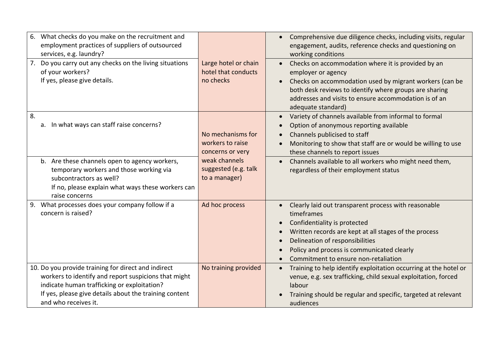| 6.<br>What checks do you make on the recruitment and<br>employment practices of suppliers of outsourced<br>services, e.g. laundry?<br>Do you carry out any checks on the living situations<br>of your workers?<br>If yes, please give details. | Large hotel or chain<br>hotel that conducts<br>no checks  | Comprehensive due diligence checks, including visits, regular<br>$\bullet$<br>engagement, audits, reference checks and questioning on<br>working conditions<br>Checks on accommodation where it is provided by an<br>$\bullet$<br>employer or agency<br>Checks on accommodation used by migrant workers (can be<br>$\bullet$<br>both desk reviews to identify where groups are sharing |
|------------------------------------------------------------------------------------------------------------------------------------------------------------------------------------------------------------------------------------------------|-----------------------------------------------------------|----------------------------------------------------------------------------------------------------------------------------------------------------------------------------------------------------------------------------------------------------------------------------------------------------------------------------------------------------------------------------------------|
|                                                                                                                                                                                                                                                |                                                           | addresses and visits to ensure accommodation is of an<br>adequate standard)                                                                                                                                                                                                                                                                                                            |
| 8.<br>a. In what ways can staff raise concerns?                                                                                                                                                                                                | No mechanisms for<br>workers to raise<br>concerns or very | Variety of channels available from informal to formal<br>$\bullet$<br>Option of anonymous reporting available<br>$\bullet$<br>Channels publicised to staff<br>$\bullet$<br>Monitoring to show that staff are or would be willing to use<br>$\bullet$<br>these channels to report issues                                                                                                |
| b. Are these channels open to agency workers,<br>temporary workers and those working via<br>subcontractors as well?<br>If no, please explain what ways these workers can<br>raise concerns                                                     | weak channels<br>suggested (e.g. talk<br>to a manager)    | Channels available to all workers who might need them,<br>$\bullet$<br>regardless of their employment status                                                                                                                                                                                                                                                                           |
| What processes does your company follow if a<br>9.<br>concern is raised?                                                                                                                                                                       | Ad hoc process                                            | Clearly laid out transparent process with reasonable<br>$\bullet$<br>timeframes<br>Confidentiality is protected<br>$\bullet$<br>Written records are kept at all stages of the process<br>$\bullet$<br>Delineation of responsibilities<br>$\bullet$<br>Policy and process is communicated clearly<br>Commitment to ensure non-retaliation<br>$\bullet$                                  |
| 10. Do you provide training for direct and indirect<br>workers to identify and report suspicions that might<br>indicate human trafficking or exploitation?<br>If yes, please give details about the training content<br>and who receives it.   | No training provided                                      | Training to help identify exploitation occurring at the hotel or<br>$\bullet$<br>venue, e.g. sex trafficking, child sexual exploitation, forced<br>labour<br>Training should be regular and specific, targeted at relevant<br>audiences                                                                                                                                                |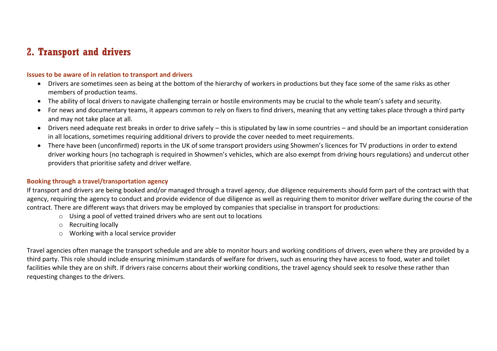## <span id="page-6-0"></span>**2. Transport and drivers**

#### **Issues to be aware of in relation to transport and drivers**

- Drivers are sometimes seen as being at the bottom of the hierarchy of workers in productions but they face some of the same risks as other members of production teams.
- The ability of local drivers to navigate challenging terrain or hostile environments may be crucial to the whole team's safety and security.
- For news and documentary teams, it appears common to rely on fixers to find drivers, meaning that any vetting takes place through a third party and may not take place at all.
- Drivers need adequate rest breaks in order to drive safely this is stipulated by law in some countries and should be an important consideration in all locations, sometimes requiring additional drivers to provide the cover needed to meet requirements.
- There have been (unconfirmed) reports in the UK of some transport providers using Showmen's licences for TV productions in order to extend driver working hours (no tachograph is required in Showmen's vehicles, which are also exempt from driving hours regulations) and undercut other providers that prioritise safety and driver welfare.

#### **Booking through a travel/transportation agency**

If transport and drivers are being booked and/or managed through a travel agency, due diligence requirements should form part of the contract with that agency, requiring the agency to conduct and provide evidence of due diligence as well as requiring them to monitor driver welfare during the course of the contract. There are different ways that drivers may be employed by companies that specialise in transport for productions:

- o Using a pool of vetted trained drivers who are sent out to locations
- o Recruiting locally
- o Working with a local service provider

Travel agencies often manage the transport schedule and are able to monitor hours and working conditions of drivers, even where they are provided by a third party. This role should include ensuring minimum standards of welfare for drivers, such as ensuring they have access to food, water and toilet facilities while they are on shift. If drivers raise concerns about their working conditions, the travel agency should seek to resolve these rather than requesting changes to the drivers.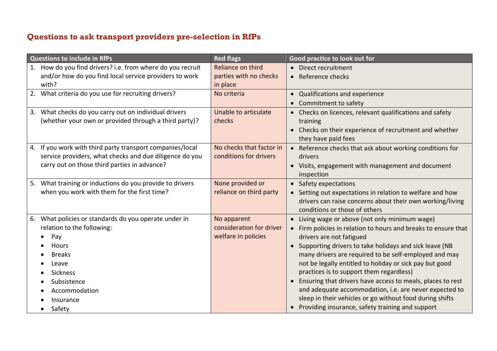## <span id="page-7-0"></span>**Questions to ask transport providers pre-selection in RfPs**

| <b>Questions to include in RfPs</b>                           | <b>Red flags</b>         | Good practice to look out for                                             |
|---------------------------------------------------------------|--------------------------|---------------------------------------------------------------------------|
| How do you find drivers? i.e. from where do you recruit<br>1. | Reliance on third        | • Direct recruitment                                                      |
| and/or how do you find local service providers to work        | parties with no checks   | • Reference checks                                                        |
| with?                                                         | in place                 |                                                                           |
| 2. What criteria do you use for recruiting drivers?           | No criteria              | Qualifications and experience<br>$\bullet$                                |
|                                                               |                          | Commitment to safety<br>$\bullet$                                         |
| What checks do you carry out on individual drivers<br>3.      | Unable to articulate     | • Checks on licences, relevant qualifications and safety                  |
| (whether your own or provided through a third party)?         | checks                   | training                                                                  |
|                                                               |                          | Checks on their experience of recruitment and whether                     |
|                                                               |                          | they have paid fees                                                       |
| If you work with third party transport companies/local<br>4.  | No checks that factor in | Reference checks that ask about working conditions for                    |
| service providers, what checks and due diligence do you       | conditions for drivers   | drivers                                                                   |
| carry out on those third parties in advance?                  |                          | • Visits, engagement with management and document                         |
|                                                               |                          | inspection                                                                |
| What training or inductions do you provide to drivers<br>5.   | None provided or         | • Safety expectations                                                     |
| when you work with them for the first time?                   | reliance on third party  | • Setting out expectations in relation to welfare and how                 |
|                                                               |                          | drivers can raise concerns about their own working/living                 |
|                                                               |                          | conditions or those of others                                             |
| What policies or standards do you operate under in<br>6.      | No apparent              | Living wage or above (not only minimum wage)<br>$\bullet$                 |
| relation to the following:                                    | consideration for driver | Firm policies in relation to hours and breaks to ensure that<br>$\bullet$ |
| Pay                                                           | welfare in policies      | drivers are not fatigued                                                  |
| Hours                                                         |                          | Supporting drivers to take holidays and sick leave (NB<br>$\bullet$       |
| <b>Breaks</b>                                                 |                          | many drivers are required to be self-employed and may                     |
| Leave                                                         |                          | not be legally entitled to holiday or sick pay but good                   |
| <b>Sickness</b>                                               |                          | practices is to support them regardless)                                  |
| Subsistence                                                   |                          | Ensuring that drivers have access to meals, places to rest<br>$\bullet$   |
| Accommodation                                                 |                          | and adequate accommodation, i.e. are never expected to                    |
| Insurance                                                     |                          | sleep in their vehicles or go without food during shifts                  |
| Safety                                                        |                          | Providing insurance, safety training and support                          |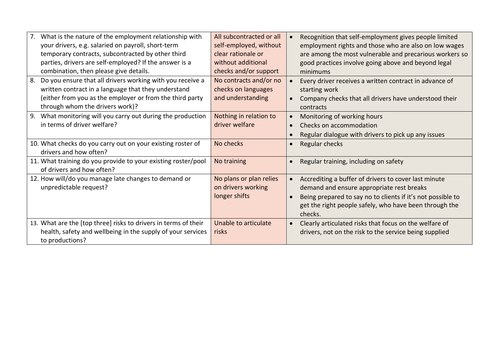| What is the nature of the employment relationship with<br>7.    | All subcontracted or all | Recognition that self-employment gives people limited               |
|-----------------------------------------------------------------|--------------------------|---------------------------------------------------------------------|
| your drivers, e.g. salaried on payroll, short-term              | self-employed, without   | employment rights and those who are also on low wages               |
|                                                                 | clear rationale or       |                                                                     |
| temporary contracts, subcontracted by other third               |                          | are among the most vulnerable and precarious workers so             |
| parties, drivers are self-employed? If the answer is a          | without additional       | good practices involve going above and beyond legal                 |
| combination, then please give details.                          | checks and/or support    | minimums                                                            |
| 8.<br>Do you ensure that all drivers working with you receive a | No contracts and/or no   | Every driver receives a written contract in advance of<br>$\bullet$ |
| written contract in a language that they understand             | checks on languages      | starting work                                                       |
| (either from you as the employer or from the third party        | and understanding        | Company checks that all drivers have understood their               |
| through whom the drivers work)?                                 |                          | contracts                                                           |
| What monitoring will you carry out during the production<br>9.  | Nothing in relation to   | Monitoring of working hours<br>$\bullet$                            |
| in terms of driver welfare?                                     | driver welfare           | Checks on accommodation                                             |
|                                                                 |                          | Regular dialogue with drivers to pick up any issues                 |
| 10. What checks do you carry out on your existing roster of     | No checks                | Regular checks                                                      |
| drivers and how often?                                          |                          |                                                                     |
| 11. What training do you provide to your existing roster/pool   | No training              | Regular training, including on safety                               |
| of drivers and how often?                                       |                          |                                                                     |
| 12. How will/do you manage late changes to demand or            | No plans or plan relies  | Accrediting a buffer of drivers to cover last minute<br>$\bullet$   |
| unpredictable request?                                          | on drivers working       | demand and ensure appropriate rest breaks                           |
|                                                                 | longer shifts            | Being prepared to say no to clients if it's not possible to         |
|                                                                 |                          |                                                                     |
|                                                                 |                          | get the right people safely, who have been through the              |
|                                                                 |                          | checks.                                                             |
| 13. What are the [top three] risks to drivers in terms of their | Unable to articulate     | Clearly articulated risks that focus on the welfare of<br>$\bullet$ |
| health, safety and wellbeing in the supply of your services     | risks                    | drivers, not on the risk to the service being supplied              |
| to productions?                                                 |                          |                                                                     |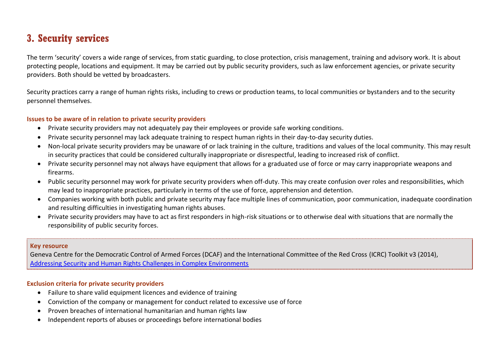# <span id="page-9-0"></span>**3. Security services**

The term 'security' covers a wide range of services, from static guarding, to close protection, crisis management, training and advisory work. It is about protecting people, locations and equipment. It may be carried out by public security providers, such as law enforcement agencies, or private security providers. Both should be vetted by broadcasters.

Security practices carry a range of human rights risks, including to crews or production teams, to local communities or bystanders and to the security personnel themselves.

#### **Issues to be aware of in relation to private security providers**

- Private security providers may not adequately pay their employees or provide safe working conditions.
- Private security personnel may lack adequate training to respect human rights in their day-to-day security duties.
- Non-local private security providers may be unaware of or lack training in the culture, traditions and values of the local community. This may result in security practices that could be considered culturally inappropriate or disrespectful, leading to increased risk of conflict.
- Private security personnel may not always have equipment that allows for a graduated use of force or may carry inappropriate weapons and firearms.
- Public security personnel may work for private security providers when off-duty. This may create confusion over roles and responsibilities, which may lead to inappropriate practices, particularly in terms of the use of force, apprehension and detention.
- Companies working with both public and private security may face multiple lines of communication, poor communication, inadequate coordination and resulting difficulties in investigating human rights abuses.
- Private security providers may have to act as first responders in high-risk situations or to otherwise deal with situations that are normally the responsibility of public security forces.

#### **Key resource**

Geneva Centre for the Democratic Control of Armed Forces (DCAF) and the International Committee of the Red Cross (ICRC) Toolkit v3 (2014), [Addressing Security and Human Rights Challenges in Complex Environments](https://www.securityhumanrightshub.org/toolkit)

#### **Exclusion criteria for private security providers**

- Failure to share valid equipment licences and evidence of training
- Conviction of the company or management for conduct related to excessive use of force
- Proven breaches of international humanitarian and human rights law
- Independent reports of abuses or proceedings before international bodies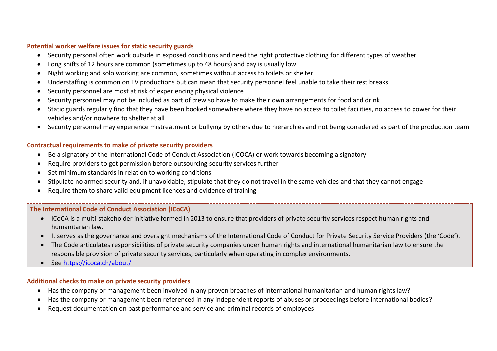#### **Potential worker welfare issues for static security guards**

- Security personal often work outside in exposed conditions and need the right protective clothing for different types of weather
- Long shifts of 12 hours are common (sometimes up to 48 hours) and pay is usually low
- Night working and solo working are common, sometimes without access to toilets or shelter
- Understaffing is common on TV productions but can mean that security personnel feel unable to take their rest breaks
- Security personnel are most at risk of experiencing physical violence
- Security personnel may not be included as part of crew so have to make their own arrangements for food and drink
- Static guards regularly find that they have been booked somewhere where they have no access to toilet facilities, no access to power for their vehicles and/or nowhere to shelter at all
- Security personnel may experience mistreatment or bullying by others due to hierarchies and not being considered as part of the production team

#### **Contractual requirements to make of private security providers**

- Be a signatory of the International Code of Conduct Association (ICOCA) or work towards becoming a signatory
- Require providers to get permission before outsourcing security services further
- Set minimum standards in relation to working conditions
- Stipulate no armed security and, if unavoidable, stipulate that they do not travel in the same vehicles and that they cannot engage
- Require them to share valid equipment licences and evidence of training

#### **The International Code of Conduct Association (ICoCA)**

- ICoCA is a multi-stakeholder initiative formed in 2013 to ensure that providers of private security services respect human rights and humanitarian law.
- It serves as the governance and oversight mechanisms of the International Code of Conduct for Private Security Service Providers (the 'Code').
- The Code articulates responsibilities of private security companies under human rights and international humanitarian law to ensure the responsible provision of private security services, particularly when operating in complex environments.
- See <https://icoca.ch/about/>

#### **Additional checks to make on private security providers**

- Has the company or management been involved in any proven breaches of international humanitarian and human rights law?
- Has the company or management been referenced in any independent reports of abuses or proceedings before international bodies?
- Request documentation on past performance and service and criminal records of employees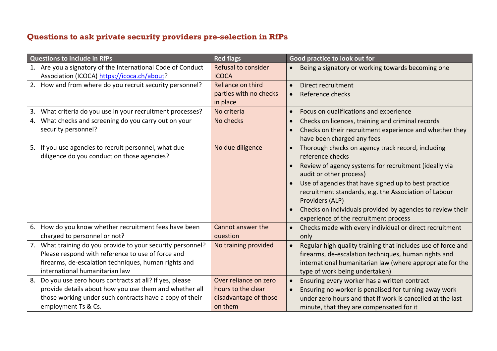## <span id="page-11-0"></span>**Questions to ask private security providers pre-selection in RfPs**

| <b>Questions to include in RfPs</b>                                                                                                                                                                           | <b>Red flags</b>                                                                | Good practice to look out for                                                                                                                                                                                                                                                                                                                                                                                                  |
|---------------------------------------------------------------------------------------------------------------------------------------------------------------------------------------------------------------|---------------------------------------------------------------------------------|--------------------------------------------------------------------------------------------------------------------------------------------------------------------------------------------------------------------------------------------------------------------------------------------------------------------------------------------------------------------------------------------------------------------------------|
| 1. Are you a signatory of the International Code of Conduct<br>Association (ICOCA) https://icoca.ch/about?                                                                                                    | <b>Refusal to consider</b><br><b>ICOCA</b>                                      | Being a signatory or working towards becoming one<br>$\bullet$                                                                                                                                                                                                                                                                                                                                                                 |
| How and from where do you recruit security personnel?<br>2.                                                                                                                                                   | Reliance on third<br>parties with no checks<br>in place                         | Direct recruitment<br>$\bullet$<br>Reference checks<br>$\bullet$                                                                                                                                                                                                                                                                                                                                                               |
| What criteria do you use in your recruitment processes?<br>3.                                                                                                                                                 | No criteria                                                                     | Focus on qualifications and experience<br>$\bullet$                                                                                                                                                                                                                                                                                                                                                                            |
| What checks and screening do you carry out on your<br>4.<br>security personnel?                                                                                                                               | No checks                                                                       | Checks on licences, training and criminal records<br>$\bullet$<br>Checks on their recruitment experience and whether they<br>have been charged any fees                                                                                                                                                                                                                                                                        |
| 5. If you use agencies to recruit personnel, what due<br>diligence do you conduct on those agencies?                                                                                                          | No due diligence                                                                | Thorough checks on agency track record, including<br>$\bullet$<br>reference checks<br>Review of agency systems for recruitment (ideally via<br>audit or other process)<br>Use of agencies that have signed up to best practice<br>$\bullet$<br>recruitment standards, e.g. the Association of Labour<br>Providers (ALP)<br>Checks on individuals provided by agencies to review their<br>experience of the recruitment process |
| How do you know whether recruitment fees have been<br>6.<br>charged to personnel or not?                                                                                                                      | Cannot answer the<br>question                                                   | Checks made with every individual or direct recruitment<br>only                                                                                                                                                                                                                                                                                                                                                                |
| What training do you provide to your security personnel?<br>7.<br>Please respond with reference to use of force and<br>firearms, de-escalation techniques, human rights and<br>international humanitarian law | No training provided                                                            | Regular high quality training that includes use of force and<br>$\bullet$<br>firearms, de-escalation techniques, human rights and<br>international humanitarian law (where appropriate for the<br>type of work being undertaken)                                                                                                                                                                                               |
| Do you use zero hours contracts at all? If yes, please<br>8.<br>provide details about how you use them and whether all<br>those working under such contracts have a copy of their<br>employment Ts & Cs.      | Over reliance on zero<br>hours to the clear<br>disadvantage of those<br>on them | Ensuring every worker has a written contract<br>$\bullet$<br>Ensuring no worker is penalised for turning away work<br>$\bullet$<br>under zero hours and that if work is cancelled at the last<br>minute, that they are compensated for it                                                                                                                                                                                      |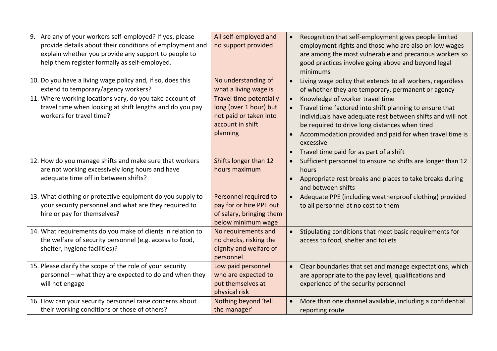| Are any of your workers self-employed? If yes, please<br>9.<br>provide details about their conditions of employment and<br>explain whether you provide any support to people to<br>help them register formally as self-employed. | All self-employed and<br>no support provided                                                                | Recognition that self-employment gives people limited<br>$\bullet$<br>employment rights and those who are also on low wages<br>are among the most vulnerable and precarious workers so<br>good practices involve going above and beyond legal<br>minimums                                                                                               |
|----------------------------------------------------------------------------------------------------------------------------------------------------------------------------------------------------------------------------------|-------------------------------------------------------------------------------------------------------------|---------------------------------------------------------------------------------------------------------------------------------------------------------------------------------------------------------------------------------------------------------------------------------------------------------------------------------------------------------|
| 10. Do you have a living wage policy and, if so, does this<br>extend to temporary/agency workers?                                                                                                                                | No understanding of<br>what a living wage is                                                                | Living wage policy that extends to all workers, regardless<br>$\bullet$<br>of whether they are temporary, permanent or agency                                                                                                                                                                                                                           |
| 11. Where working locations vary, do you take account of<br>travel time when looking at shift lengths and do you pay<br>workers for travel time?                                                                                 | Travel time potentially<br>long (over 1 hour) but<br>not paid or taken into<br>account in shift<br>planning | Knowledge of worker travel time<br>$\bullet$<br>Travel time factored into shift planning to ensure that<br>individuals have adequate rest between shifts and will not<br>be required to drive long distances when tired<br>Accommodation provided and paid for when travel time is<br>$\bullet$<br>excessive<br>Travel time paid for as part of a shift |
| 12. How do you manage shifts and make sure that workers<br>are not working excessively long hours and have<br>adequate time off in between shifts?                                                                               | Shifts longer than 12<br>hours maximum                                                                      | Sufficient personnel to ensure no shifts are longer than 12<br>$\bullet$<br>hours<br>Appropriate rest breaks and places to take breaks during<br>and between shifts                                                                                                                                                                                     |
| 13. What clothing or protective equipment do you supply to<br>your security personnel and what are they required to<br>hire or pay for themselves?                                                                               | Personnel required to<br>pay for or hire PPE out<br>of salary, bringing them<br>below minimum wage          | Adequate PPE (including weatherproof clothing) provided<br>to all personnel at no cost to them                                                                                                                                                                                                                                                          |
| 14. What requirements do you make of clients in relation to<br>the welfare of security personnel (e.g. access to food,<br>shelter, hygiene facilities)?                                                                          | No requirements and<br>no checks, risking the<br>dignity and welfare of<br>personnel                        | Stipulating conditions that meet basic requirements for<br>$\bullet$<br>access to food, shelter and toilets                                                                                                                                                                                                                                             |
| 15. Please clarify the scope of the role of your security<br>personnel - what they are expected to do and when they<br>will not engage                                                                                           | Low paid personnel<br>who are expected to<br>put themselves at<br>physical risk                             | Clear boundaries that set and manage expectations, which<br>$\bullet$<br>are appropriate to the pay level, qualifications and<br>experience of the security personnel                                                                                                                                                                                   |
| 16. How can your security personnel raise concerns about<br>their working conditions or those of others?                                                                                                                         | Nothing beyond 'tell<br>the manager'                                                                        | More than one channel available, including a confidential<br>$\bullet$<br>reporting route                                                                                                                                                                                                                                                               |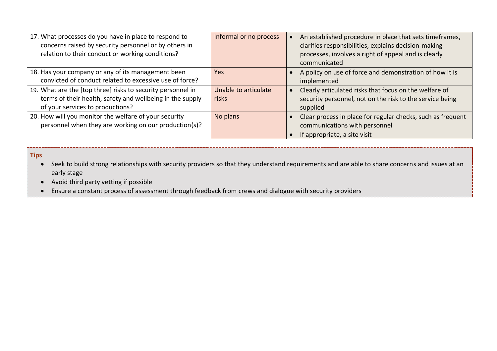| 17. What processes do you have in place to respond to<br>concerns raised by security personnel or by others in<br>relation to their conduct or working conditions? | Informal or no process        | An established procedure in place that sets timeframes,<br>clarifies responsibilities, explains decision-making<br>processes, involves a right of appeal and is clearly<br>communicated |
|--------------------------------------------------------------------------------------------------------------------------------------------------------------------|-------------------------------|-----------------------------------------------------------------------------------------------------------------------------------------------------------------------------------------|
| 18. Has your company or any of its management been<br>convicted of conduct related to excessive use of force?                                                      | Yes.                          | A policy on use of force and demonstration of how it is<br>implemented                                                                                                                  |
| 19. What are the [top three] risks to security personnel in<br>terms of their health, safety and wellbeing in the supply<br>of your services to productions?       | Unable to articulate<br>risks | Clearly articulated risks that focus on the welfare of<br>security personnel, not on the risk to the service being<br>supplied                                                          |
| 20. How will you monitor the welfare of your security<br>personnel when they are working on our production(s)?                                                     | No plans                      | Clear process in place for regular checks, such as frequent<br>communications with personnel<br>If appropriate, a site visit                                                            |

**Tips**

• Seek to build strong relationships with security providers so that they understand requirements and are able to share concerns and issues at an early stage

• Avoid third party vetting if possible

• Ensure a constant process of assessment through feedback from crews and dialogue with security providers